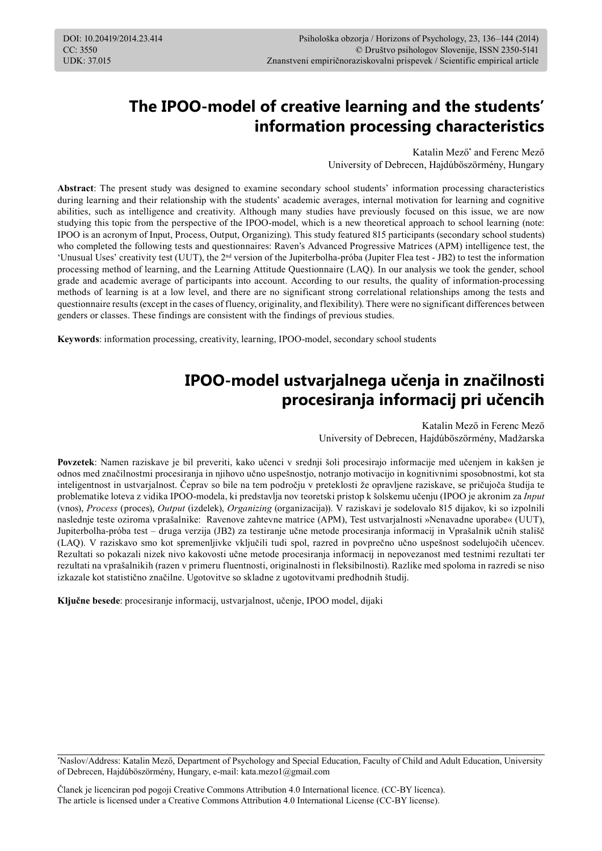# **The IPOO-model of creative learning and the students' information processing characteristics**

Katalin Mező\* and Ferenc Mező University of Debrecen, Hajdúböszörmény, Hungary

**Abstract**: The present study was designed to examine secondary school students' information processing characteristics during learning and their relationship with the students' academic averages, internal motivation for learning and cognitive abilities, such as intelligence and creativity. Although many studies have previously focused on this issue, we are now studying this topic from the perspective of the IPOO-model, which is a new theoretical approach to school learning (note: IPOO is an acronym of Input, Process, Output, Organizing). This study featured 815 participants (secondary school students) who completed the following tests and questionnaires: Raven's Advanced Progressive Matrices (APM) intelligence test, the 'Unusual Uses' creativity test (UUT), the 2nd version of the Jupiterbolha-próba (Jupiter Flea test - JB2) to test the information processing method of learning, and the Learning Attitude Questionnaire (LAQ). In our analysis we took the gender, school grade and academic average of participants into account. According to our results, the quality of information-processing methods of learning is at a low level, and there are no significant strong correlational relationships among the tests and questionnaire results (except in the cases of fluency, originality, and flexibility). There were no significant differences between genders or classes. These findings are consistent with the findings of previous studies.

**Keywords**: information processing, creativity, learning, IPOO-model, secondary school students

# **IPOO-model ustvarjalnega učenja in značilnosti procesiranja informacij pri učencih**

Katalin Mező in Ferenc Mező University of Debrecen, Hajdúböszörmény, Madžarska

**Povzetek**: Namen raziskave je bil preveriti, kako učenci v srednji šoli procesirajo informacije med učenjem in kakšen je odnos med značilnostmi procesiranja in njihovo učno uspešnostjo, notranjo motivacijo in kognitivnimi sposobnostmi, kot sta inteligentnost in ustvarjalnost. Čeprav so bile na tem področju v preteklosti že opravljene raziskave, se pričujoča študija te problematike loteva z vidika IPOO-modela, ki predstavlja nov teoretski pristop k šolskemu učenju (IPOO je akronim za *Input* (vnos), *Process* (proces), *Output* (izdelek), *Organizing* (organizacija)). V raziskavi je sodelovalo 815 dijakov, ki so izpolnili naslednje teste oziroma vprašalnike: Ravenove zahtevne matrice (APM), Test ustvarjalnosti »Nenavadne uporabe« (UUT), Jupiterbolha-próba test – druga verzija (JB2) za testiranje učne metode procesiranja informacij in Vprašalnik učnih stališč (LAQ). V raziskavo smo kot spremenljivke vključili tudi spol, razred in povprečno učno uspešnost sodelujočih učencev. Rezultati so pokazali nizek nivo kakovosti učne metode procesiranja informacij in nepovezanost med testnimi rezultati ter rezultati na vprašalnikih (razen v primeru fluentnosti, originalnosti in fleksibilnosti). Razlike med spoloma in razredi se niso izkazale kot statistično značilne. Ugotovitve so skladne z ugotovitvami predhodnih študij.

**Ključne besede**: procesiranje informacij, ustvarjalnost, učenje, IPOO model, dijaki

Članek je licenciran pod pogoji Creative Commons Attribution 4.0 International licence. (CC-BY licenca). The article is licensed under a Creative Commons Attribution 4.0 International License (CC-BY license).

<sup>\*</sup> Naslov/Address: Katalin Mező, Department of Psychology and Special Education, Faculty of Child and Adult Education, University of Debrecen, Hajdúböszörmény, Hungary, e-mail: kata.mezo1@gmail.com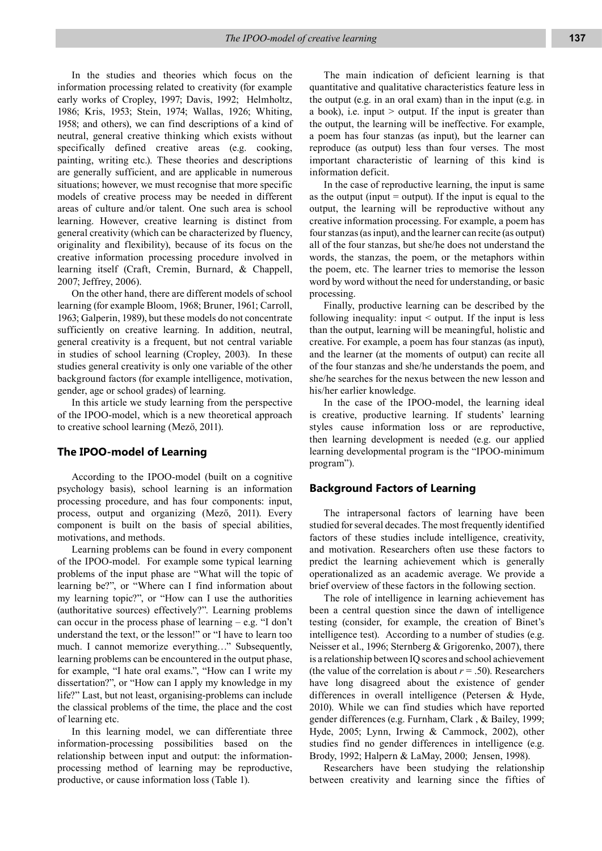In the studies and theories which focus on the information processing related to creativity (for example early works of Cropley, 1997; Davis, 1992; Helmholtz, 1986; Kris, 1953; Stein, 1974; Wallas, 1926; Whiting, 1958; and others), we can find descriptions of a kind of neutral, general creative thinking which exists without specifically defined creative areas (e.g. cooking, painting, writing etc.). These theories and descriptions are generally sufficient, and are applicable in numerous situations; however, we must recognise that more specific models of creative process may be needed in different areas of culture and/or talent. One such area is school learning. However, creative learning is distinct from general creativity (which can be characterized by fluency, originality and flexibility), because of its focus on the creative information processing procedure involved in learning itself (Craft, Cremin, Burnard, & Chappell, 2007; Jeffrey, 2006).

On the other hand, there are different models of school learning (for example Bloom, 1968; Bruner, 1961; Carroll, 1963; Galperin, 1989), but these models do not concentrate sufficiently on creative learning. In addition, neutral, general creativity is a frequent, but not central variable in studies of school learning (Cropley, 2003). In these studies general creativity is only one variable of the other background factors (for example intelligence, motivation, gender, age or school grades) of learning.

In this article we study learning from the perspective of the IPOO-model, which is a new theoretical approach to creative school learning (Mező, 2011).

#### **The IPOO-model of Learning**

According to the IPOO-model (built on a cognitive psychology basis), school learning is an information processing procedure, and has four components: input, process, output and organizing (Mező, 2011). Every component is built on the basis of special abilities, motivations, and methods.

Learning problems can be found in every component of the IPOO-model. For example some typical learning problems of the input phase are "What will the topic of learning be?", or "Where can I find information about my learning topic?", or "How can I use the authorities (authoritative sources) effectively?". Learning problems can occur in the process phase of learning – e.g. "I don't understand the text, or the lesson!" or "I have to learn too much. I cannot memorize everything…" Subsequently, learning problems can be encountered in the output phase, for example, "I hate oral exams.", "How can I write my dissertation?", or "How can I apply my knowledge in my life?" Last, but not least, organising-problems can include the classical problems of the time, the place and the cost of learning etc.

In this learning model, we can differentiate three information-processing possibilities based on the relationship between input and output: the informationprocessing method of learning may be reproductive, productive, or cause information loss (Table 1).

The main indication of deficient learning is that quantitative and qualitative characteristics feature less in the output (e.g. in an oral exam) than in the input (e.g. in a book), i.e. input > output. If the input is greater than the output, the learning will be ineffective. For example, a poem has four stanzas (as input), but the learner can reproduce (as output) less than four verses. The most important characteristic of learning of this kind is information deficit.

In the case of reproductive learning, the input is same as the output (input  $=$  output). If the input is equal to the output, the learning will be reproductive without any creative information processing. For example, a poem has four stanzas (as input), and the learner can recite (as output) all of the four stanzas, but she/he does not understand the words, the stanzas, the poem, or the metaphors within the poem, etc. The learner tries to memorise the lesson word by word without the need for understanding, or basic processing.

Finally, productive learning can be described by the following inequality: input < output. If the input is less than the output, learning will be meaningful, holistic and creative. For example, a poem has four stanzas (as input), and the learner (at the moments of output) can recite all of the four stanzas and she/he understands the poem, and she/he searches for the nexus between the new lesson and his/her earlier knowledge.

In the case of the IPOO-model, the learning ideal is creative, productive learning. If students' learning styles cause information loss or are reproductive, then learning development is needed (e.g. our applied learning developmental program is the "IPOO-minimum program").

#### **Background Factors of Learning**

The intrapersonal factors of learning have been studied for several decades. The most frequently identified factors of these studies include intelligence, creativity, and motivation. Researchers often use these factors to predict the learning achievement which is generally operationalized as an academic average. We provide a brief overview of these factors in the following section.

The role of intelligence in learning achievement has been a central question since the dawn of intelligence testing (consider, for example, the creation of Binet's intelligence test). According to a number of studies (e.g. Neisser et al., 1996; Sternberg & Grigorenko, 2007), there is a relationship between IQ scores and school achievement (the value of the correlation is about  $r = .50$ ). Researchers have long disagreed about the existence of gender differences in overall intelligence (Petersen & Hyde, 2010). While we can find studies which have reported gender differences (e.g. Furnham, Clark , & Bailey, 1999; Hyde, 2005; Lynn, Irwing & Cammock, 2002), other studies find no gender differences in intelligence (e.g. Brody, 1992; Halpern & LaMay, 2000; Jensen, 1998).

Researchers have been studying the relationship between creativity and learning since the fifties of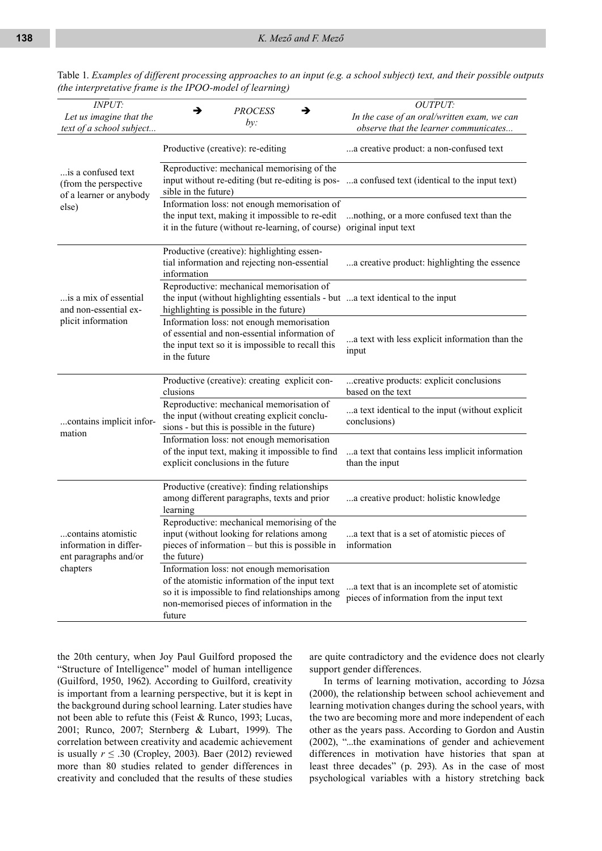| <b>INPUT:</b><br>Let us imagine that the<br>text of a school subject   | →<br>→<br><b>PROCESS</b><br>by:                                                                                                                                                                        | OUTPUT:<br>In the case of an oral/written exam, we can<br>observe that the learner communicates |
|------------------------------------------------------------------------|--------------------------------------------------------------------------------------------------------------------------------------------------------------------------------------------------------|-------------------------------------------------------------------------------------------------|
|                                                                        | Productive (creative): re-editing                                                                                                                                                                      | a creative product: a non-confused text                                                         |
| is a confused text<br>(from the perspective<br>of a learner or anybody | Reproductive: mechanical memorising of the<br>input without re-editing (but re-editing is pos-<br>sible in the future)                                                                                 | a confused text (identical to the input text)                                                   |
| else)                                                                  | Information loss: not enough memorisation of<br>the input text, making it impossible to re-edit<br>it in the future (without re-learning, of course) original input text                               | nothing, or a more confused text than the                                                       |
|                                                                        | Productive (creative): highlighting essen-<br>tial information and rejecting non-essential<br>information                                                                                              | a creative product: highlighting the essence                                                    |
| is a mix of essential<br>and non-essential ex-                         | Reproductive: mechanical memorisation of<br>the input (without highlighting essentials - but a text identical to the input<br>highlighting is possible in the future)                                  |                                                                                                 |
| plicit information                                                     | Information loss: not enough memorisation<br>of essential and non-essential information of<br>the input text so it is impossible to recall this<br>in the future                                       | a text with less explicit information than the<br>input                                         |
|                                                                        | Productive (creative): creating explicit con-<br>clusions                                                                                                                                              | creative products: explicit conclusions<br>based on the text                                    |
| contains implicit infor-<br>mation                                     | Reproductive: mechanical memorisation of<br>the input (without creating explicit conclu-<br>sions - but this is possible in the future)                                                                | a text identical to the input (without explicit<br>conclusions)                                 |
|                                                                        | Information loss: not enough memorisation<br>of the input text, making it impossible to find<br>explicit conclusions in the future                                                                     | a text that contains less implicit information<br>than the input                                |
|                                                                        | Productive (creative): finding relationships<br>among different paragraphs, texts and prior<br>learning                                                                                                | a creative product: holistic knowledge                                                          |
| contains atomistic<br>information in differ-<br>ent paragraphs and/or  | Reproductive: mechanical memorising of the<br>input (without looking for relations among<br>pieces of information – but this is possible in<br>the future)                                             | a text that is a set of atomistic pieces of<br>information                                      |
| chapters                                                               | Information loss: not enough memorisation<br>of the atomistic information of the input text<br>so it is impossible to find relationships among<br>non-memorised pieces of information in the<br>future | a text that is an incomplete set of atomistic<br>pieces of information from the input text      |

Table 1. *Examples of different processing approaches to an input (e.g. a school subject) text, and their possible outputs (the interpretative frame is the IPOO-model of learning)*

the 20th century, when Joy Paul Guilford proposed the "Structure of Intelligence" model of human intelligence (Guilford, 1950, 1962). According to Guilford, creativity is important from a learning perspective, but it is kept in the background during school learning. Later studies have not been able to refute this (Feist & Runco, 1993; Lucas, 2001; Runco, 2007; Sternberg & Lubart, 1999). The correlation between creativity and academic achievement is usually  $r \leq .30$  (Cropley, 2003). Baer (2012) reviewed more than 80 studies related to gender differences in creativity and concluded that the results of these studies

are quite contradictory and the evidence does not clearly support gender differences.

In terms of learning motivation, according to Józsa (2000), the relationship between school achievement and learning motivation changes during the school years, with the two are becoming more and more independent of each other as the years pass. According to Gordon and Austin (2002), "...the examinations of gender and achievement differences in motivation have histories that span at least three decades" (p. 293). As in the case of most psychological variables with a history stretching back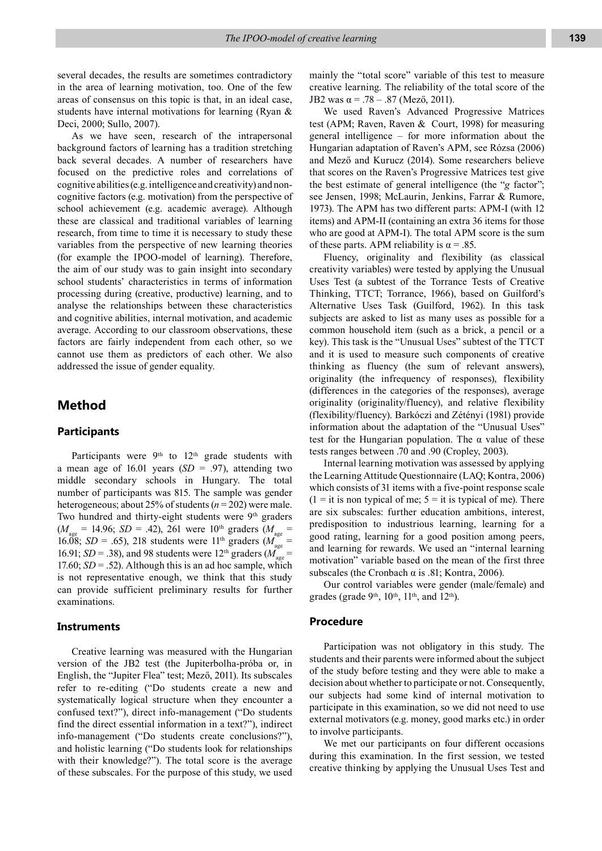several decades, the results are sometimes contradictory in the area of learning motivation, too. One of the few areas of consensus on this topic is that, in an ideal case, students have internal motivations for learning (Ryan & Deci, 2000; Sullo, 2007).

As we have seen, research of the intrapersonal background factors of learning has a tradition stretching back several decades. A number of researchers have focused on the predictive roles and correlations of cognitive abilities (e.g. intelligence and creativity) and noncognitive factors (e.g. motivation) from the perspective of school achievement (e.g. academic average). Although these are classical and traditional variables of learning research, from time to time it is necessary to study these variables from the perspective of new learning theories (for example the IPOO-model of learning). Therefore, the aim of our study was to gain insight into secondary school students' characteristics in terms of information processing during (creative, productive) learning, and to analyse the relationships between these characteristics and cognitive abilities, internal motivation, and academic average. According to our classroom observations, these factors are fairly independent from each other, so we cannot use them as predictors of each other. We also addressed the issue of gender equality.

### **Method**

#### **Participants**

Participants were  $9<sup>th</sup>$  to  $12<sup>th</sup>$  grade students with a mean age of 16.01 years  $(SD = .97)$ , attending two middle secondary schools in Hungary. The total number of participants was 815. The sample was gender heterogeneous; about 25% of students (*n* = 202) were male. Two hundred and thirty-eight students were 9<sup>th</sup> graders  $(M_{\text{age}} = 14.96; SD = .42)$ , 261 were 10<sup>th</sup> graders  $(M_{\text{age}} =$ 16.08; *SD* = .65), 218 students were 11<sup>th</sup> graders (*M*) 16.91; *SD* = .38), and 98 students were 12<sup>th</sup> graders  $(M)$ 17.60;  $SD = .52$ ). Although this is an ad hoc sample, which is not representative enough, we think that this study can provide sufficient preliminary results for further examinations.

#### **Instruments**

Creative learning was measured with the Hungarian version of the JB2 test (the Jupiterbolha-próba or, in English, the "Jupiter Flea" test; Mező, 2011). Its subscales refer to re-editing ("Do students create a new and systematically logical structure when they encounter a confused text?"), direct info-management ("Do students find the direct essential information in a text?"), indirect info-management ("Do students create conclusions?"), and holistic learning ("Do students look for relationships with their knowledge?"). The total score is the average of these subscales. For the purpose of this study, we used mainly the "total score" variable of this test to measure creative learning. The reliability of the total score of the JB2 was  $\alpha$  = .78 – .87 (Mező, 2011).

We used Raven's Advanced Progressive Matrices test (APM; Raven, Raven & Court, 1998) for measuring general intelligence – for more information about the Hungarian adaptation of Raven's APM, see Rózsa (2006) and Mező and Kurucz (2014). Some researchers believe that scores on the Raven's Progressive Matrices test give the best estimate of general intelligence (the "*g* factor"; see Jensen, 1998; McLaurin, Jenkins, Farrar & Rumore, 1973). The APM has two different parts: APM-I (with 12 items) and APM-II (containing an extra 36 items for those who are good at APM-I). The total APM score is the sum of these parts. APM reliability is  $\alpha = .85$ .

Fluency, originality and flexibility (as classical creativity variables) were tested by applying the Unusual Uses Test (a subtest of the Torrance Tests of Creative Thinking, TTCT; Torrance, 1966), based on Guilford's Alternative Uses Task (Guilford, 1962). In this task subjects are asked to list as many uses as possible for a common household item (such as a brick, a pencil or a key). This task is the "Unusual Uses" subtest of the TTCT and it is used to measure such components of creative thinking as fluency (the sum of relevant answers), originality (the infrequency of responses), flexibility (differences in the categories of the responses), average originality (originality/fluency), and relative flexibility (flexibility/fluency). Barkóczi and Zétényi (1981) provide information about the adaptation of the "Unusual Uses" test for the Hungarian population. The  $\alpha$  value of these tests ranges between .70 and .90 (Cropley, 2003).

Internal learning motivation was assessed by applying the Learning Attitude Questionnaire (LAQ; Kontra, 2006) which consists of 31 items with a five-point response scale  $(1 = it is non typical of me; 5 = it is typical of me)$ . There are six subscales: further education ambitions, interest, predisposition to industrious learning, learning for a good rating, learning for a good position among peers, and learning for rewards. We used an "internal learning motivation" variable based on the mean of the first three subscales (the Cronbach  $\alpha$  is .81; Kontra, 2006).

Our control variables were gender (male/female) and grades (grade 9<sup>th</sup>, 10<sup>th</sup>, 11<sup>th</sup>, and 12<sup>th</sup>).

#### **Procedure**

Participation was not obligatory in this study. The students and their parents were informed about the subject of the study before testing and they were able to make a decision about whether to participate or not. Consequently, our subjects had some kind of internal motivation to participate in this examination, so we did not need to use external motivators (e.g. money, good marks etc.) in order to involve participants.

We met our participants on four different occasions during this examination. In the first session, we tested creative thinking by applying the Unusual Uses Test and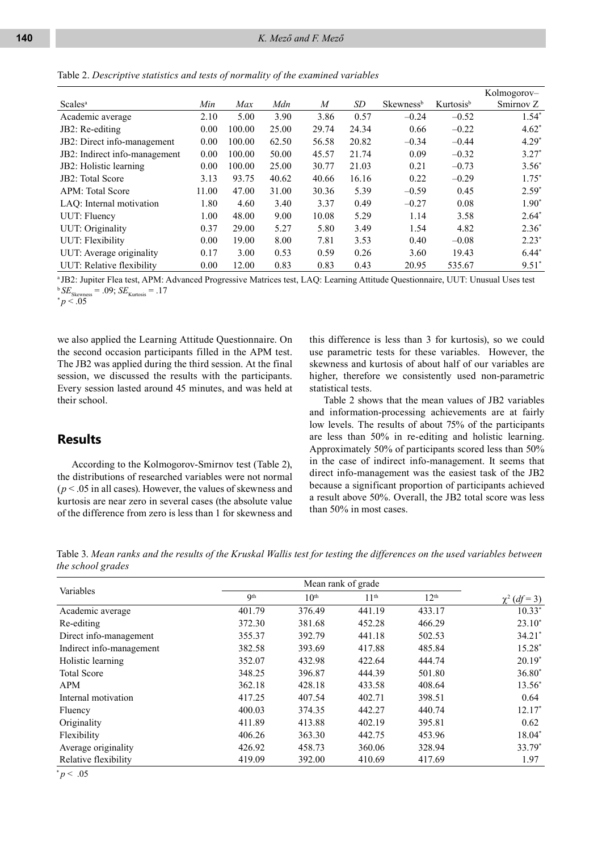Table 2. *Descriptive statistics and tests of normality of the examined variables*

|                               |       |        |       |                  |       |                       |                       | Kolmogorov- |
|-------------------------------|-------|--------|-------|------------------|-------|-----------------------|-----------------------|-------------|
| <b>Scales</b> <sup>a</sup>    | Min   | Max    | Mdn   | $\boldsymbol{M}$ | SD    | Skewness <sup>b</sup> | Kurtosis <sup>b</sup> | Smirnov Z   |
| Academic average              | 2.10  | 5.00   | 3.90  | 3.86             | 0.57  | $-0.24$               | $-0.52$               | $1.54*$     |
| JB2: Re-editing               | 0.00  | 100.00 | 25.00 | 29.74            | 24.34 | 0.66                  | $-0.22$               | $4.62*$     |
| JB2: Direct info-management   | 0.00  | 100.00 | 62.50 | 56.58            | 20.82 | $-0.34$               | $-0.44$               | $4.29*$     |
| JB2: Indirect info-management | 0.00  | 100.00 | 50.00 | 45.57            | 21.74 | 0.09                  | $-0.32$               | $3.27*$     |
| JB2: Holistic learning        | 0.00  | 100.00 | 25.00 | 30.77            | 21.03 | 0.21                  | $-0.73$               | $3.56^*$    |
| JB2: Total Score              | 3.13  | 93.75  | 40.62 | 40.66            | 16.16 | 0.22                  | $-0.29$               | $1.75*$     |
| <b>APM: Total Score</b>       | 11.00 | 47.00  | 31.00 | 30.36            | 5.39  | $-0.59$               | 0.45                  | $2.59*$     |
| LAO: Internal motivation      | 1.80  | 4.60   | 3.40  | 3.37             | 0.49  | $-0.27$               | 0.08                  | $1.90*$     |
| UUT: Fluency                  | 1.00  | 48.00  | 9.00  | 10.08            | 5.29  | 1.14                  | 3.58                  | $2.64*$     |
| UUT: Originality              | 0.37  | 29.00  | 5.27  | 5.80             | 3.49  | 1.54                  | 4.82                  | $2.36*$     |
| <b>UUT:</b> Flexibility       | 0.00  | 19.00  | 8.00  | 7.81             | 3.53  | 0.40                  | $-0.08$               | $2.23*$     |
| UUT: Average originality      | 0.17  | 3.00   | 0.53  | 0.59             | 0.26  | 3.60                  | 19.43                 | $6.44*$     |
| UUT: Relative flexibility     | 0.00  | 12.00  | 0.83  | 0.83             | 0.43  | 20.95                 | 535.67                | $9.51*$     |

a JB2: Jupiter Flea test, APM: Advanced Progressive Matrices test, LAQ: Learning Attitude Questionnaire, UUT: Unusual Uses test  $b$  *SE*<sub>Skewness</sub> = .09; *SE*<sub>Kurtosis</sub> = .17<br>  $\binom{b}{p}$  < .05

we also applied the Learning Attitude Questionnaire. On the second occasion participants filled in the APM test. The JB2 was applied during the third session. At the final session, we discussed the results with the participants. Every session lasted around 45 minutes, and was held at their school.

#### this difference is less than 3 for kurtosis), so we could use parametric tests for these variables. However, the skewness and kurtosis of about half of our variables are higher, therefore we consistently used non-parametric statistical tests.

## **Results**

According to the Kolmogorov-Smirnov test (Table 2), the distributions of researched variables were not normal (*p* < .05 in all cases). However, the values of skewness and kurtosis are near zero in several cases (the absolute value of the difference from zero is less than 1 for skewness and

Table 2 shows that the mean values of JB2 variables and information-processing achievements are at fairly low levels. The results of about 75% of the participants are less than 50% in re-editing and holistic learning. Approximately 50% of participants scored less than 50% in the case of indirect info-management. It seems that direct info-management was the easiest task of the JB2 because a significant proportion of participants achieved a result above 50%. Overall, the JB2 total score was less than 50% in most cases.

Table 3. *Mean ranks and the results of the Kruskal Wallis test for testing the differences on the used variables between the school grades*

| <b>Qth</b> | 10 <sup>th</sup> | 11 <sup>th</sup> | 12 <sup>th</sup>   | $\chi^2$ (df = 3) |
|------------|------------------|------------------|--------------------|-------------------|
| 401.79     | 376.49           | 441.19           | 433.17             | $10.33*$          |
| 372.30     | 381.68           | 452.28           | 466.29             | $23.10*$          |
| 355.37     | 392.79           | 441.18           | 502.53             | $34.21*$          |
| 382.58     | 393.69           | 417.88           | 485.84             | 15.28*            |
| 352.07     | 432.98           | 422.64           | 444.74             | $20.19*$          |
| 348.25     | 396.87           | 444.39           | 501.80             | $36.80*$          |
| 362.18     | 428.18           | 433.58           | 408.64             | 13.56*            |
| 417.25     | 407.54           | 402.71           | 398.51             | 0.64              |
| 400.03     | 374.35           | 442.27           | 440.74             | 12.17*            |
| 411.89     | 413.88           | 402.19           | 395.81             | 0.62              |
| 406.26     | 363.30           | 442.75           | 453.96             | 18.04*            |
| 426.92     | 458.73           | 360.06           | 328.94             | 33.79*            |
| 419.09     | 392.00           | 410.69           | 417.69             | 1.97              |
|            |                  |                  | Mean rank of grade |                   |

 $p < .05$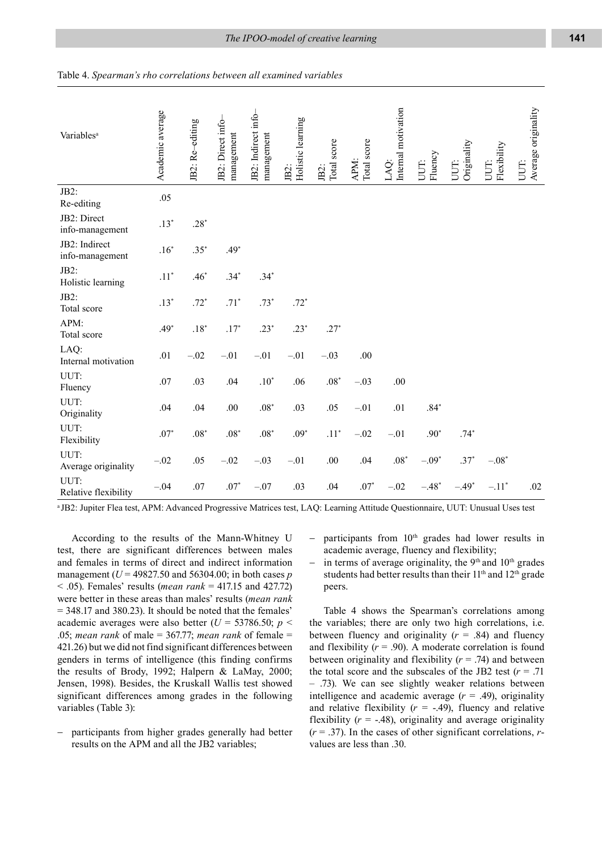| Variables <sup>a</sup>           | Academic average | JB2: Re-editing | JB2: Direct info-<br>management | JB2: Indirect info-<br>management | Holistic learning<br>JB2: | JB2:<br>Total score | APM:<br>Total score | Internal motivation<br>LAQ: | Fluency<br>UUT: | Originality<br>UUT: | Flexibility<br>UUT: | Average originality<br>UUT: |
|----------------------------------|------------------|-----------------|---------------------------------|-----------------------------------|---------------------------|---------------------|---------------------|-----------------------------|-----------------|---------------------|---------------------|-----------------------------|
| JB2:<br>Re-editing               | .05              |                 |                                 |                                   |                           |                     |                     |                             |                 |                     |                     |                             |
| JB2: Direct<br>info-management   | $.13*$           | $.28*$          |                                 |                                   |                           |                     |                     |                             |                 |                     |                     |                             |
| JB2: Indirect<br>info-management | $.16*$           | $.35*$          | $.49*$                          |                                   |                           |                     |                     |                             |                 |                     |                     |                             |
| JB2:<br>Holistic learning        | $.11*$           | $.46*$          | $.34*$                          | $.34*$                            |                           |                     |                     |                             |                 |                     |                     |                             |
| JB2:<br>Total score              | $.13*$           | $.72*$          | $.71*$                          | $.73*$                            | $.72*$                    |                     |                     |                             |                 |                     |                     |                             |
| APM:<br>Total score              | $.49*$           | $.18*$          | $.17*$                          | $.23*$                            | $.23*$                    | $.27*$              |                     |                             |                 |                     |                     |                             |
| LAQ:<br>Internal motivation      | .01              | $-.02$          | $-.01$                          | $-.01$                            | $-.01$                    | $-.03$              | .00                 |                             |                 |                     |                     |                             |
| UUT:<br>Fluency                  | .07              | .03             | .04                             | $.10*$                            | .06                       | $.08*$              | $-.03$              | .00                         |                 |                     |                     |                             |
| UUT:<br>Originality              | .04              | .04             | $.00\,$                         | $.08^{\ast}$                      | .03                       | .05                 | $-.01$              | .01                         | $.84*$          |                     |                     |                             |
| UUT:<br>Flexibility              | $.07*$           | $.08*$          | $.08^{\ast}$                    | $.08^{\ast}$                      | $.09*$                    | $.11*$              | $-.02$              | $-.01$                      | $.90*$          | $.74*$              |                     |                             |
| UUT:<br>Average originality      | $-.02$           | .05             | $-.02$                          | $-.03$                            | $-.01$                    | .00.                | .04                 | $.08^\ast$                  | $-.09*$         | $.37*$              | $-.08*$             |                             |
| UUT:<br>Relative flexibility     | $-.04$           | .07             | $.07*$                          | $-.07$                            | .03                       | .04                 | $.07*$              | $-.02$                      | $-.48*$         | $-.49*$             | $-.11*$             | .02                         |

| Table 4. Spearman's rho correlations between all examined variables |
|---------------------------------------------------------------------|
|---------------------------------------------------------------------|

a JB2: Jupiter Flea test, APM: Advanced Progressive Matrices test, LAQ: Learning Attitude Questionnaire, UUT: Unusual Uses test

According to the results of the Mann-Whitney U test, there are significant differences between males and females in terms of direct and indirect information management (*U* = 49827.50 and 56304.00; in both cases *p* < .05). Females' results (*mean rank* = 417.15 and 427.72) were better in these areas than males' results (*mean rank* = 348.17 and 380.23). It should be noted that the females' academic averages were also better ( $U = 53786.50$ ;  $p <$ .05; *mean rank* of male = 367.77; *mean rank* of female = 421.26) but we did not find significant differences between genders in terms of intelligence (this finding confirms the results of Brody, 1992; Halpern & LaMay, 2000; Jensen, 1998). Besides, the Kruskall Wallis test showed significant differences among grades in the following variables (Table 3):

− participants from higher grades generally had better results on the APM and all the JB2 variables;

− participants from 10th grades had lower results in academic average, fluency and flexibility;

− in terms of average originality, the 9<sup>th</sup> and 10<sup>th</sup> grades students had better results than their  $11<sup>th</sup>$  and  $12<sup>th</sup>$  grade peers.

Table 4 shows the Spearman's correlations among the variables; there are only two high correlations, i.e. between fluency and originality  $(r = .84)$  and fluency and flexibility  $(r = .90)$ . A moderate correlation is found between originality and flexibility  $(r = .74)$  and between the total score and the subscales of the JB2 test  $(r = .71)$ – .73). We can see slightly weaker relations between intelligence and academic average  $(r = .49)$ , originality and relative flexibility  $(r = -.49)$ , fluency and relative flexibility  $(r = -0.48)$ , originality and average originality  $(r = .37)$ . In the cases of other significant correlations, *r*values are less than .30.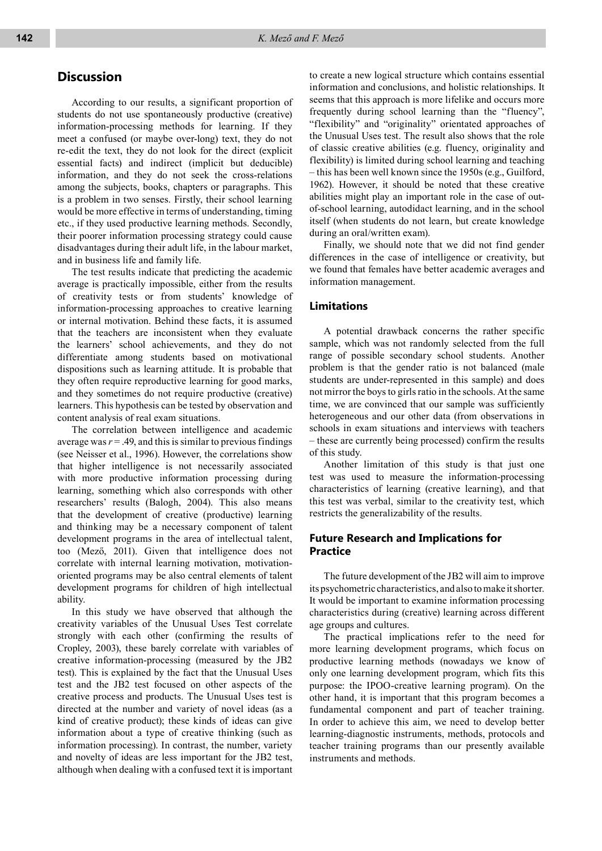#### **Discussion**

According to our results, a significant proportion of students do not use spontaneously productive (creative) information-processing methods for learning. If they meet a confused (or maybe over-long) text, they do not re-edit the text, they do not look for the direct (explicit essential facts) and indirect (implicit but deducible) information, and they do not seek the cross-relations among the subjects, books, chapters or paragraphs. This is a problem in two senses. Firstly, their school learning would be more effective in terms of understanding, timing etc., if they used productive learning methods. Secondly, their poorer information processing strategy could cause disadvantages during their adult life, in the labour market, and in business life and family life.

The test results indicate that predicting the academic average is practically impossible, either from the results of creativity tests or from students' knowledge of information-processing approaches to creative learning or internal motivation. Behind these facts, it is assumed that the teachers are inconsistent when they evaluate the learners' school achievements, and they do not differentiate among students based on motivational dispositions such as learning attitude. It is probable that they often require reproductive learning for good marks, and they sometimes do not require productive (creative) learners. This hypothesis can be tested by observation and content analysis of real exam situations.

The correlation between intelligence and academic average was  $r = .49$ , and this is similar to previous findings (see Neisser et al., 1996). However, the correlations show that higher intelligence is not necessarily associated with more productive information processing during learning, something which also corresponds with other researchers' results (Balogh, 2004). This also means that the development of creative (productive) learning and thinking may be a necessary component of talent development programs in the area of intellectual talent, too (Mező, 2011). Given that intelligence does not correlate with internal learning motivation, motivationoriented programs may be also central elements of talent development programs for children of high intellectual ability.

In this study we have observed that although the creativity variables of the Unusual Uses Test correlate strongly with each other (confirming the results of Cropley, 2003), these barely correlate with variables of creative information-processing (measured by the JB2 test). This is explained by the fact that the Unusual Uses test and the JB2 test focused on other aspects of the creative process and products. The Unusual Uses test is directed at the number and variety of novel ideas (as a kind of creative product); these kinds of ideas can give information about a type of creative thinking (such as information processing). In contrast, the number, variety and novelty of ideas are less important for the JB2 test, although when dealing with a confused text it is important

to create a new logical structure which contains essential information and conclusions, and holistic relationships. It seems that this approach is more lifelike and occurs more frequently during school learning than the "fluency", "flexibility" and "originality" orientated approaches of the Unusual Uses test. The result also shows that the role of classic creative abilities (e.g. fluency, originality and flexibility) is limited during school learning and teaching – this has been well known since the 1950s (e.g., Guilford, 1962). However, it should be noted that these creative abilities might play an important role in the case of outof-school learning, autodidact learning, and in the school itself (when students do not learn, but create knowledge during an oral/written exam).

Finally, we should note that we did not find gender differences in the case of intelligence or creativity, but we found that females have better academic averages and information management.

#### **Limitations**

A potential drawback concerns the rather specific sample, which was not randomly selected from the full range of possible secondary school students. Another problem is that the gender ratio is not balanced (male students are under-represented in this sample) and does not mirror the boys to girls ratio in the schools. At the same time, we are convinced that our sample was sufficiently heterogeneous and our other data (from observations in schools in exam situations and interviews with teachers – these are currently being processed) confirm the results of this study.

Another limitation of this study is that just one test was used to measure the information-processing characteristics of learning (creative learning), and that this test was verbal, similar to the creativity test, which restricts the generalizability of the results.

#### **Future Research and Implications for Practice**

The future development of the JB2 will aim to improve its psychometric characteristics, and also to make it shorter. It would be important to examine information processing characteristics during (creative) learning across different age groups and cultures.

The practical implications refer to the need for more learning development programs, which focus on productive learning methods (nowadays we know of only one learning development program, which fits this purpose: the IPOO-creative learning program). On the other hand, it is important that this program becomes a fundamental component and part of teacher training. In order to achieve this aim, we need to develop better learning-diagnostic instruments, methods, protocols and teacher training programs than our presently available instruments and methods.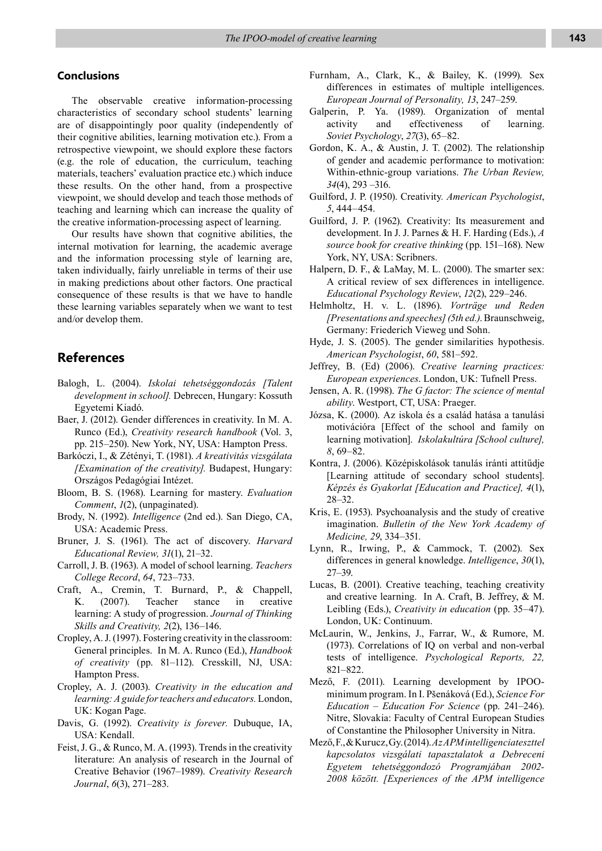#### **Conclusions**

The observable creative information-processing characteristics of secondary school students' learning are of disappointingly poor quality (independently of their cognitive abilities, learning motivation etc.). From a retrospective viewpoint, we should explore these factors (e.g. the role of education, the curriculum, teaching materials, teachers' evaluation practice etc.) which induce these results. On the other hand, from a prospective viewpoint, we should develop and teach those methods of teaching and learning which can increase the quality of the creative information-processing aspect of learning.

Our results have shown that cognitive abilities, the internal motivation for learning, the academic average and the information processing style of learning are, taken individually, fairly unreliable in terms of their use in making predictions about other factors. One practical consequence of these results is that we have to handle these learning variables separately when we want to test and/or develop them.

### **References**

- Balogh, L. (2004). *Iskolai tehetséggondozás [Talent development in school].* Debrecen, Hungary: Kossuth Egyetemi Kiadó.
- Baer, J. (2012). Gender differences in creativity. In M. A. Runco (Ed.), *Creativity research handbook* (Vol. 3, pp. 215–250). New York, NY, USA: Hampton Press.
- Barkóczi, I., & Zétényi, T. (1981). *A kreativitás vizsgálata [Examination of the creativity].* Budapest, Hungary: Országos Pedagógiai Intézet.
- Bloom, B. S. (1968). Learning for mastery. *Evaluation Comment*, *1*(2), (unpaginated).
- Brody, N. (1992). *Intelligence* (2nd ed.). San Diego, CA, USA: Academic Press.
- Bruner, J. S. (1961). The act of discovery. *Harvard Educational Review, 31*(1), 21–32.
- Carroll, J. B. (1963). A model of school learning. *Teachers College Record*, *64*, 723–733.
- Craft, A., Cremin, T. Burnard, P., & Chappell, K. (2007). Teacher stance in creative learning: A study of progression. *Journal of Thinking Skills and Creativity, 2*(2), 136–146.
- Cropley, A. J. (1997). Fostering creativity in the classroom: General principles. In M. A. Runco (Ed.), *Handbook of creativity* (pp. 81–112). Cresskill, NJ, USA: Hampton Press.
- Cropley, A. J. (2003). *Creativity in the education and learning: A guide for teachers and educators.* London, UK: Kogan Page.
- Davis, G. (1992). *Creativity is forever.* Dubuque, IA, USA: Kendall.
- Feist, J. G., & Runco, M. A. (1993). Trends in the creativity literature: An analysis of research in the Journal of Creative Behavior (1967–1989). *Creativity Research Journal*, *6*(3), 271–283.
- Furnham, A., Clark, K., & Bailey, K. (1999). Sex differences in estimates of multiple intelligences. *European Journal of Personality, 13*, 247–259.
- Galperin, P. Ya. (1989). Organization of mental activity and effectiveness of learning. *Soviet Psychology*, *27*(3), 65–82.
- Gordon, K. A., & Austin, J. T. (2002). The relationship of gender and academic performance to motivation: Within-ethnic-group variations. *The Urban Review, 34*(4), 293 –316.
- Guilford, J. P. (1950). Creativity*. American Psychologist*, *5*, 444–454.
- Guilford, J. P. (1962). Creativity: Its measurement and development. In J. J. Parnes & H. F. Harding (Eds.), *A source book for creative thinking* (pp. 151–168). New York, NY, USA: Scribners.
- Halpern, D. F., & LaMay, M. L. (2000). The smarter sex: A critical review of sex differences in intelligence. *Educational Psychology Review*, *12*(2), 229–246.
- Helmholtz, H. v. L. (1896). *Vorträge und Reden [Presentations and speeches] (5th ed.)*. Braunschweig, Germany: Friederich Vieweg und Sohn.
- Hyde, J. S. (2005). The gender similarities hypothesis. *American Psychologist*, *60*, 581–592.
- Jeffrey, B. (Ed) (2006). *Creative learning practices: European experiences*. London, UK: Tufnell Press.
- Jensen, A. R. (1998). *The G factor: The science of mental ability*. Westport, CT, USA: Praeger.
- Józsa, K. (2000). Az iskola és a család hatása a tanulási motivációra [Effect of the school and family on learning motivation]. *Iskolakultúra [School culture], 8*, 69–82.
- Kontra, J. (2006). Középiskolások tanulás iránti attitűdje [Learning attitude of secondary school students]. *Képzés és Gyakorlat [Education and Practice], 4*(1), 28–32.
- Kris, E. (1953). Psychoanalysis and the study of creative imagination. *Bulletin of the New York Academy of Medicine, 29*, 334–351.
- Lynn, R., Irwing, P., & Cammock, T. (2002). Sex differences in general knowledge. *Intelligence*, *30*(1), 27–39.
- Lucas, B. (2001). Creative teaching, teaching creativity and creative learning. In A. Craft, B. Jeffrey, & M. Leibling (Eds.), *Creativity in education* (pp. 35–47). London, UK: Continuum.
- McLaurin, W., Jenkins, J., Farrar, W., & Rumore, M. (1973). Correlations of IQ on verbal and non-verbal tests of intelligence. *Psychological Reports, 22,*  821–822.
- Mező, F. (2011). Learning development by IPOOminimum program. In I. Pšenáková (Ed.), *Science For Education – Education For Science* (pp. 241–246). Nitre, Slovakia: Faculty of Central European Studies of Constantine the Philosopher University in Nitra.
- Mező, F., & Kurucz, Gy. (2014). *Az APM intelligenciateszttel kapcsolatos vizsgálati tapasztalatok a Debreceni Egyetem tehetséggondozó Programjában 2002- 2008 között. [Experiences of the APM intelligence*